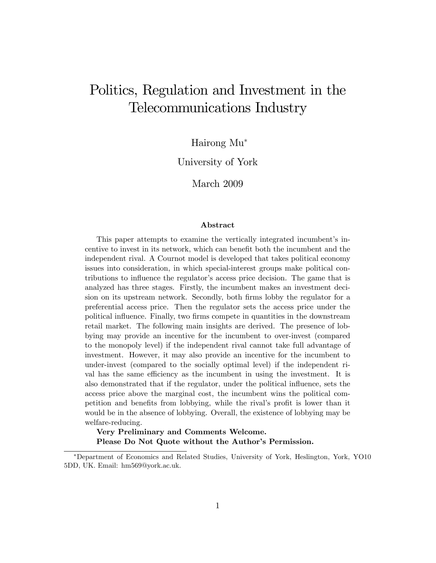# Politics, Regulation and Investment in the Telecommunications Industry

Hairong Mu

University of York

March 2009

#### Abstract

This paper attempts to examine the vertically integrated incumbent's incentive to invest in its network, which can benefit both the incumbent and the independent rival. A Cournot model is developed that takes political economy issues into consideration, in which special-interest groups make political contributions to influence the regulator's access price decision. The game that is analyzed has three stages. Firstly, the incumbent makes an investment decision on its upstream network. Secondly, both firms lobby the regulator for a preferential access price. Then the regulator sets the access price under the political influence. Finally, two firms compete in quantities in the downstream retail market. The following main insights are derived. The presence of lobbying may provide an incentive for the incumbent to over-invest (compared to the monopoly level) if the independent rival cannot take full advantage of investment. However, it may also provide an incentive for the incumbent to under-invest (compared to the socially optimal level) if the independent rival has the same efficiency as the incumbent in using the investment. It is also demonstrated that if the regulator, under the political influence, sets the access price above the marginal cost, the incumbent wins the political competition and benefits from lobbying, while the rival's profit is lower than it would be in the absence of lobbying. Overall, the existence of lobbying may be welfare-reducing.

Very Preliminary and Comments Welcome. Please Do Not Quote without the Author's Permission.

Department of Economics and Related Studies, University of York, Heslington, York, YO10 5DD, UK. Email: hm569@york.ac.uk.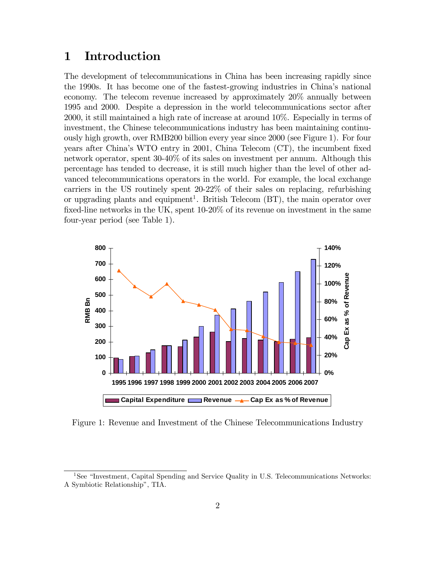# 1 Introduction

The development of telecommunications in China has been increasing rapidly since the 1990s. It has become one of the fastest-growing industries in Chinaís national economy. The telecom revenue increased by approximately 20% annually between 1995 and 2000. Despite a depression in the world telecommunications sector after 2000, it still maintained a high rate of increase at around 10%. Especially in terms of investment, the Chinese telecommunications industry has been maintaining continuously high growth, over RMB200 billion every year since 2000 (see Figure 1). For four years after China's WTO entry in 2001, China Telecom (CT), the incumbent fixed network operator, spent 30-40% of its sales on investment per annum. Although this percentage has tended to decrease, it is still much higher than the level of other advanced telecommunications operators in the world. For example, the local exchange carriers in the US routinely spent 20-22% of their sales on replacing, refurbishing or upgrading plants and equipment<sup>1</sup>. British Telecom  $(BT)$ , the main operator over fixed-line networks in the UK, spent  $10-20\%$  of its revenue on investment in the same four-year period (see Table 1).



Figure 1: Revenue and Investment of the Chinese Telecommunications Industry

<sup>&</sup>lt;sup>1</sup>See "Investment, Capital Spending and Service Quality in U.S. Telecommunications Networks: A Symbiotic Relationship", TIA.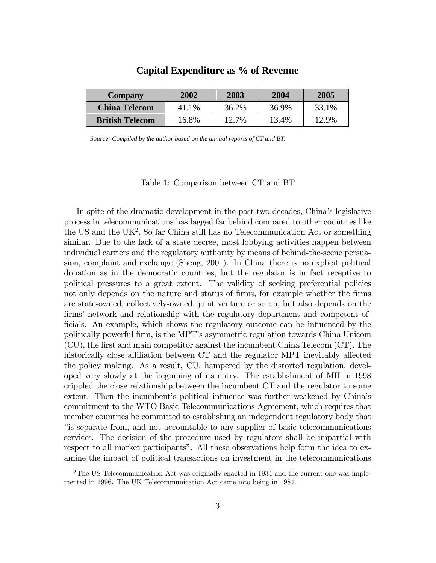| <b>Company</b>         | 2002  | 2003  | 2004  | 2005  |
|------------------------|-------|-------|-------|-------|
| <b>China Telecom</b>   | 41.1% | 36.2% | 36.9% | 33.1% |
| <b>British Telecom</b> | 16.8% | 12.7% | 13.4% | 12.9% |

### **Capital Expenditure as % of Revenue**

*Source: Compiled by the author based on the annual reports of CT and BT.*

Table 1: Comparison between CT and BT

In spite of the dramatic development in the past two decades, Chinaís legislative process in telecommunications has lagged far behind compared to other countries like the US and the  $UK<sup>2</sup>$ . So far China still has no Telecommunication Act or something similar. Due to the lack of a state decree, most lobbying activities happen between individual carriers and the regulatory authority by means of behind-the-scene persuasion, complaint and exchange (Sheng, 2001). In China there is no explicit political donation as in the democratic countries, but the regulator is in fact receptive to political pressures to a great extent. The validity of seeking preferential policies not only depends on the nature and status of firms, for example whether the firms are state-owned, collectively-owned, joint venture or so on, but also depends on the firms' network and relationship with the regulatory department and competent officials. An example, which shows the regulatory outcome can be influenced by the politically powerful Örm, is the MPTís asymmetric regulation towards China Unicom  $(CU)$ , the first and main competitor against the incumbent China Telecom  $(CT)$ . The historically close affiliation between CT and the regulator MPT inevitably affected the policy making. As a result, CU, hampered by the distorted regulation, developed very slowly at the beginning of its entry. The establishment of MII in 1998 crippled the close relationship between the incumbent CT and the regulator to some extent. Then the incumbent's political influence was further weakened by China's commitment to the WTO Basic Telecommunications Agreement, which requires that member countries be committed to establishing an independent regulatory body that ìis separate from, and not accountable to any supplier of basic telecommunications services. The decision of the procedure used by regulators shall be impartial with respect to all market participants". All these observations help form the idea to examine the impact of political transactions on investment in the telecommunications

<sup>&</sup>lt;sup>2</sup>The US Telecommunication Act was originally enacted in 1934 and the current one was implemented in 1996. The UK Telecommunication Act came into being in 1984.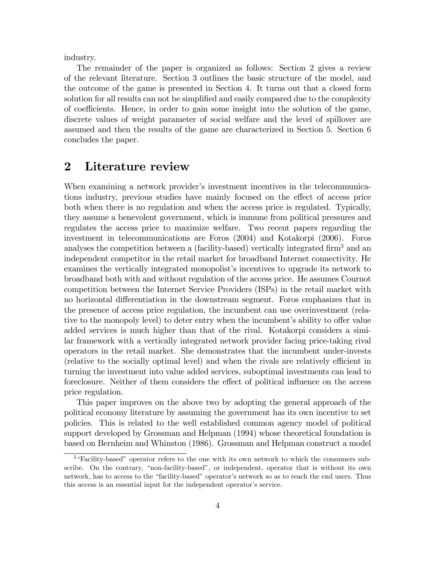industry.

The remainder of the paper is organized as follows: Section 2 gives a review of the relevant literature. Section 3 outlines the basic structure of the model, and the outcome of the game is presented in Section 4. It turns out that a closed form solution for all results can not be simplified and easily compared due to the complexity of coefficients. Hence, in order to gain some insight into the solution of the game, discrete values of weight parameter of social welfare and the level of spillover are assumed and then the results of the game are characterized in Section 5. Section 6 concludes the paper.

# 2 Literature review

When examining a network provider's investment incentives in the telecommunications industry, previous studies have mainly focused on the effect of access price both when there is no regulation and when the access price is regulated. Typically, they assume a benevolent government, which is immune from political pressures and regulates the access price to maximize welfare. Two recent papers regarding the investment in telecommunications are Foros (2004) and Kotakorpi (2006). Foros analyses the competition between a (facility-based) vertically integrated firm<sup>3</sup> and an independent competitor in the retail market for broadband Internet connectivity. He examines the vertically integrated monopolist's incentives to upgrade its network to broadband both with and without regulation of the access price. He assumes Cournot competition between the Internet Service Providers (ISPs) in the retail market with no horizontal differentiation in the downstream segment. Foros emphasizes that in the presence of access price regulation, the incumbent can use overinvestment (relative to the monopoly level) to deter entry when the incumbent's ability to offer value added services is much higher than that of the rival. Kotakorpi considers a similar framework with a vertically integrated network provider facing price-taking rival operators in the retail market. She demonstrates that the incumbent under-invests (relative to the socially optimal level) and when the rivals are relatively efficient in turning the investment into value added services, suboptimal investments can lead to foreclosure. Neither of them considers the effect of political influence on the access price regulation.

This paper improves on the above two by adopting the general approach of the political economy literature by assuming the government has its own incentive to set policies. This is related to the well established common agency model of political support developed by Grossman and Helpman (1994) whose theoretical foundation is based on Bernheim and Whinston (1986). Grossman and Helpman construct a model

<sup>&</sup>lt;sup>3</sup> "Facility-based" operator refers to the one with its own network to which the consumers subscribe. On the contrary, "non-facility-based", or independent, operator that is without its own network, has to access to the "facility-based" operator's network so as to reach the end users. Thus this access is an essential input for the independent operator's service.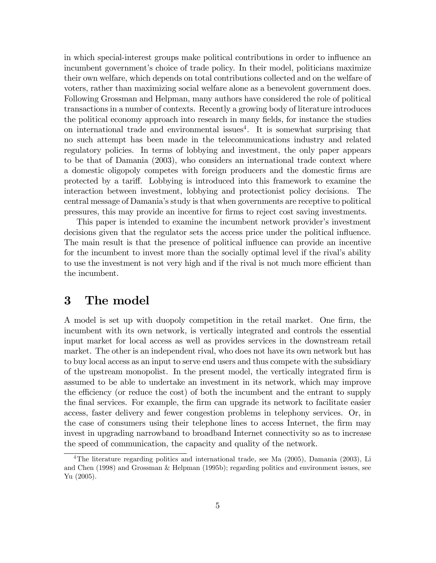in which special-interest groups make political contributions in order to influence an incumbent government's choice of trade policy. In their model, politicians maximize their own welfare, which depends on total contributions collected and on the welfare of voters, rather than maximizing social welfare alone as a benevolent government does. Following Grossman and Helpman, many authors have considered the role of political transactions in a number of contexts. Recently a growing body of literature introduces the political economy approach into research in many Öelds, for instance the studies on international trade and environmental issues<sup>4</sup>. It is somewhat surprising that no such attempt has been made in the telecommunications industry and related regulatory policies. In terms of lobbying and investment, the only paper appears to be that of Damania (2003), who considers an international trade context where a domestic oligopoly competes with foreign producers and the domestic Örms are protected by a tariff. Lobbying is introduced into this framework to examine the interaction between investment, lobbying and protectionist policy decisions. The central message of Damaniaís study is that when governments are receptive to political pressures, this may provide an incentive for Örms to reject cost saving investments.

This paper is intended to examine the incumbent network provider's investment decisions given that the regulator sets the access price under the political ináuence. The main result is that the presence of political influence can provide an incentive for the incumbent to invest more than the socially optimal level if the rival's ability to use the investment is not very high and if the rival is not much more efficient than the incumbent.

# 3 The model

A model is set up with duopoly competition in the retail market. One firm, the incumbent with its own network, is vertically integrated and controls the essential input market for local access as well as provides services in the downstream retail market. The other is an independent rival, who does not have its own network but has to buy local access as an input to serve end users and thus compete with the subsidiary of the upstream monopolist. In the present model, the vertically integrated Örm is assumed to be able to undertake an investment in its network, which may improve the efficiency (or reduce the cost) of both the incumbent and the entrant to supply the final services. For example, the firm can upgrade its network to facilitate easier access, faster delivery and fewer congestion problems in telephony services. Or, in the case of consumers using their telephone lines to access Internet, the firm may invest in upgrading narrowband to broadband Internet connectivity so as to increase the speed of communication, the capacity and quality of the network.

<sup>&</sup>lt;sup>4</sup>The literature regarding politics and international trade, see Ma (2005), Damania (2003), Li and Chen (1998) and Grossman & Helpman (1995b); regarding politics and environment issues, see Yu (2005).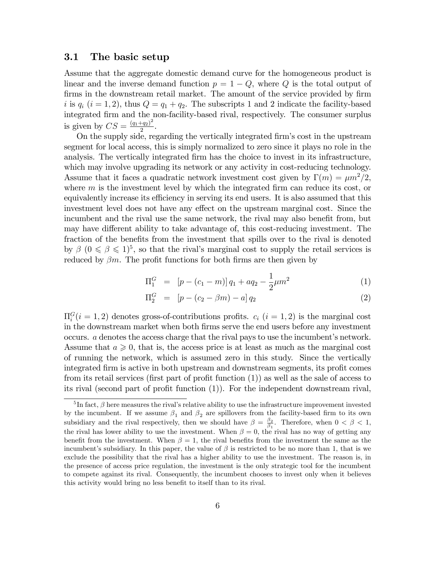#### 3.1 The basic setup

Assume that the aggregate domestic demand curve for the homogeneous product is linear and the inverse demand function  $p = 1 - Q$ , where Q is the total output of firms in the downstream retail market. The amount of the service provided by firm i is  $q_i$   $(i = 1, 2)$ , thus  $Q = q_1 + q_2$ . The subscripts 1 and 2 indicate the facility-based integrated Örm and the non-facility-based rival, respectively. The consumer surplus is given by  $CS = \frac{(q_1+q_2)^2}{2}$  $\frac{1-q_2}{2}$ .

On the supply side, regarding the vertically integrated firm's cost in the upstream segment for local access, this is simply normalized to zero since it plays no role in the analysis. The vertically integrated firm has the choice to invest in its infrastructure, which may involve upgrading its network or any activity in cost-reducing technology. Assume that it faces a quadratic network investment cost given by  $\Gamma(m) = \mu m^2/2$ , where  $m$  is the investment level by which the integrated firm can reduce its cost, or equivalently increase its efficiency in serving its end users. It is also assumed that this investment level does not have any effect on the upstream marginal cost. Since the incumbent and the rival use the same network, the rival may also benefit from, but may have different ability to take advantage of, this cost-reducing investment. The fraction of the benefits from the investment that spills over to the rival is denoted by  $\beta$   $(0 \le \beta \le 1)^5$ , so that the rival's marginal cost to supply the retail services is reduced by  $\beta m$ . The profit functions for both firms are then given by

$$
\Pi_1^G = [p - (c_1 - m)] q_1 + a q_2 - \frac{1}{2} \mu m^2 \tag{1}
$$

$$
\Pi_2^G = [p - (c_2 - \beta m) - a] q_2 \tag{2}
$$

 $\Pi_i^G(i=1,2)$  denotes gross-of-contributions profits.  $c_i$   $(i=1,2)$  is the marginal cost in the downstream market when both Örms serve the end users before any investment occurs.  $\alpha$  denotes the access charge that the rival pays to use the incumbent's network. Assume that  $a \geq 0$ , that is, the access price is at least as much as the marginal cost of running the network, which is assumed zero in this study. Since the vertically integrated firm is active in both upstream and downstream segments, its profit comes from its retail services (first part of profit function  $(1)$ ) as well as the sale of access to its rival (second part of profit function  $(1)$ ). For the independent downstream rival,

<sup>&</sup>lt;sup>5</sup>In fact,  $\beta$  here measures the rival's relative ability to use the infrastructure improvement invested by the incumbent. If we assume  $\beta_1$  and  $\beta_2$  are spillovers from the facility-based firm to its own subsidiary and the rival respectively, then we should have  $\beta = \frac{\beta_2}{\beta}$  $\frac{\beta_2}{\beta_1}$ . Therefore, when  $0 < \beta < 1$ , the rival has lower ability to use the investment. When  $\beta = 0$ , the rival has no way of getting any benefit from the investment. When  $\beta = 1$ , the rival benefits from the investment the same as the incumbent's subsidiary. In this paper, the value of  $\beta$  is restricted to be no more than 1, that is we exclude the possibility that the rival has a higher ability to use the investment. The reason is, in the presence of access price regulation, the investment is the only strategic tool for the incumbent to compete against its rival. Consequently, the incumbent chooses to invest only when it believes this activity would bring no less benefit to itself than to its rival.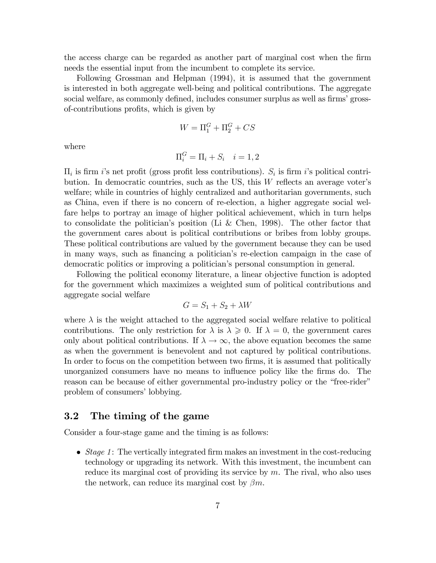the access charge can be regarded as another part of marginal cost when the Örm needs the essential input from the incumbent to complete its service.

Following Grossman and Helpman (1994), it is assumed that the government is interested in both aggregate well-being and political contributions. The aggregate social welfare, as commonly defined, includes consumer surplus as well as firms' grossof-contributions profits, which is given by

$$
W=\Pi_1^G+\Pi_2^G+CS
$$

where

$$
\Pi_i^G = \Pi_i + S_i \quad i = 1, 2
$$

 $\Pi_i$  is firm *i*'s net profit (gross profit less contributions).  $S_i$  is firm *i*'s political contribution. In democratic countries, such as the US, this  $W$  reflects an average voter's welfare; while in countries of highly centralized and authoritarian governments, such as China, even if there is no concern of re-election, a higher aggregate social welfare helps to portray an image of higher political achievement, which in turn helps to consolidate the politician's position (Li & Chen, 1998). The other factor that the government cares about is political contributions or bribes from lobby groups. These political contributions are valued by the government because they can be used in many ways, such as financing a politician's re-election campaign in the case of democratic politics or improving a politician's personal consumption in general.

Following the political economy literature, a linear objective function is adopted for the government which maximizes a weighted sum of political contributions and aggregate social welfare

$$
G = S_1 + S_2 + \lambda W
$$

where  $\lambda$  is the weight attached to the aggregated social welfare relative to political contributions. The only restriction for  $\lambda$  is  $\lambda \geqslant 0$ . If  $\lambda = 0$ , the government cares only about political contributions. If  $\lambda \to \infty$ , the above equation becomes the same as when the government is benevolent and not captured by political contributions. In order to focus on the competition between two firms, it is assumed that politically unorganized consumers have no means to influence policy like the firms do. The reason can be because of either governmental pro-industry policy or the "free-rider" problem of consumers' lobbying.

### 3.2 The timing of the game

Consider a four-stage game and the timing is as follows:

• Stage 1: The vertically integrated firm makes an investment in the cost-reducing technology or upgrading its network. With this investment, the incumbent can reduce its marginal cost of providing its service by m. The rival, who also uses the network, can reduce its marginal cost by  $\beta m$ .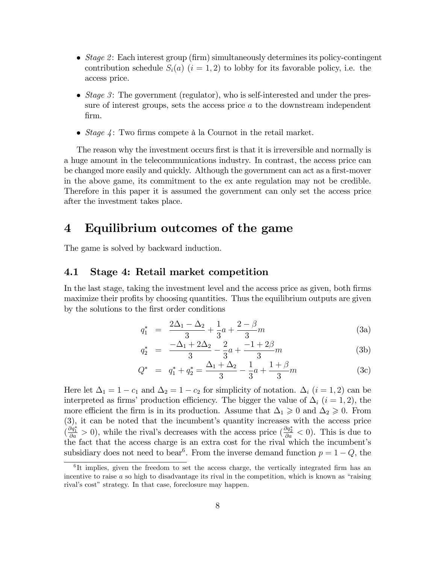- Stage 2: Each interest group (firm) simultaneously determines its policy-contingent contribution schedule  $S_i(a)$   $(i = 1, 2)$  to lobby for its favorable policy, i.e. the access price.
- Stage 3: The government (regulator), who is self-interested and under the pressure of interest groups, sets the access price a to the downstream independent Örm.
- *Stage 4*: Two firms compete à la Cournot in the retail market.

The reason why the investment occurs first is that it is irreversible and normally is a huge amount in the telecommunications industry. In contrast, the access price can be changed more easily and quickly. Although the government can act as a first-mover in the above game, its commitment to the ex ante regulation may not be credible. Therefore in this paper it is assumed the government can only set the access price after the investment takes place.

## 4 Equilibrium outcomes of the game

The game is solved by backward induction.

#### 4.1 Stage 4: Retail market competition

In the last stage, taking the investment level and the access price as given, both firms maximize their profits by choosing quantities. Thus the equilibrium outputs are given by the solutions to the first order conditions

$$
q_1^* = \frac{2\Delta_1 - \Delta_2}{3} + \frac{1}{3}a + \frac{2-\beta}{3}m\tag{3a}
$$

$$
q_2^* = \frac{-\Delta_1 + 2\Delta_2}{3} - \frac{2}{3}a + \frac{-1 + 2\beta}{3}m\tag{3b}
$$

$$
Q^* = q_1^* + q_2^* = \frac{\Delta_1 + \Delta_2}{3} - \frac{1}{3}a + \frac{1+\beta}{3}m \tag{3c}
$$

Here let  $\Delta_1 = 1 - c_1$  and  $\Delta_2 = 1 - c_2$  for simplicity of notation.  $\Delta_i$   $(i = 1, 2)$  can be interpreted as firms' production efficiency. The bigger the value of  $\Delta_i$  (i = 1, 2), the more efficient the firm is in its production. Assume that  $\Delta_1 \geq 0$  and  $\Delta_2 \geq 0$ . From  $(3)$ , it can be noted that the incumbent's quantity increases with the access price  $(\frac{\partial q_1^*}{\partial a} > 0)$ , while the rival's decreases with the access price  $(\frac{\partial q_2^*}{\partial a} < 0)$ . This is due to the fact that the access charge is an extra cost for the rival which the incumbent's subsidiary does not need to bear<sup>6</sup>. From the inverse demand function  $p = 1 - Q$ , the

<sup>&</sup>lt;sup>6</sup>It implies, given the freedom to set the access charge, the vertically integrated firm has an incentive to raise  $a$  so high to disadvantage its rival in the competition, which is known as "raising" rival's cost" strategy. In that case, foreclosure may happen.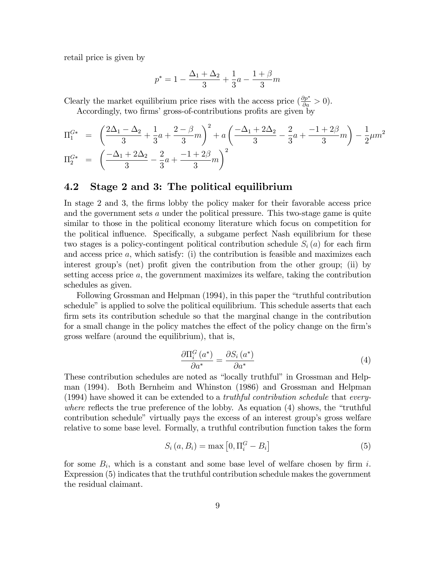retail price is given by

$$
p^* = 1 - \frac{\Delta_1 + \Delta_2}{3} + \frac{1}{3}a - \frac{1+\beta}{3}m
$$

Clearly the market equilibrium price rises with the access price  $(\frac{\partial p^*}{\partial a} > 0)$ .

Accordingly, two firms' gross-of-contributions profits are given by

$$
\Pi_1^{G*} = \left(\frac{2\Delta_1 - \Delta_2}{3} + \frac{1}{3}a + \frac{2-\beta}{3}m\right)^2 + a\left(\frac{-\Delta_1 + 2\Delta_2}{3} - \frac{2}{3}a + \frac{-1+2\beta}{3}m\right) - \frac{1}{2}\mu m^2
$$
  

$$
\Pi_2^{G*} = \left(\frac{-\Delta_1 + 2\Delta_2}{3} - \frac{2}{3}a + \frac{-1+2\beta}{3}m\right)^2
$$

### 4.2 Stage 2 and 3: The political equilibrium

In stage 2 and 3, the firms lobby the policy maker for their favorable access price and the government sets a under the political pressure. This two-stage game is quite similar to those in the political economy literature which focus on competition for the political influence. Specifically, a subgame perfect Nash equilibrium for these two stages is a policy-contingent political contribution schedule  $S_i(a)$  for each firm and access price  $a$ , which satisfy: (i) the contribution is feasible and maximizes each interest group's (net) profit given the contribution from the other group; (ii) by setting access price a, the government maximizes its welfare, taking the contribution schedules as given.

Following Grossman and Helpman (1994), in this paper the "truthful contribution" schedule" is applied to solve the political equilibrium. This schedule asserts that each firm sets its contribution schedule so that the marginal change in the contribution for a small change in the policy matches the effect of the policy change on the firm's gross welfare (around the equilibrium), that is,

$$
\frac{\partial \Pi_i^G \left( a^* \right)}{\partial a^*} = \frac{\partial S_i \left( a^* \right)}{\partial a^*} \tag{4}
$$

These contribution schedules are noted as "locally truthful" in Grossman and Helpman (1994). Both Bernheim and Whinston (1986) and Grossman and Helpman (1994) have showed it can be extended to a truthful contribution schedule that everywhere reflects the true preference of the lobby. As equation  $(4)$  shows, the "truthful contribution schedule" virtually pays the excess of an interest group's gross welfare relative to some base level. Formally, a truthful contribution function takes the form

$$
S_i(a, B_i) = \max\left[0, \Pi_i^G - B_i\right] \tag{5}
$$

for some  $B_i$ , which is a constant and some base level of welfare chosen by firm i. Expression (5) indicates that the truthful contribution schedule makes the government the residual claimant.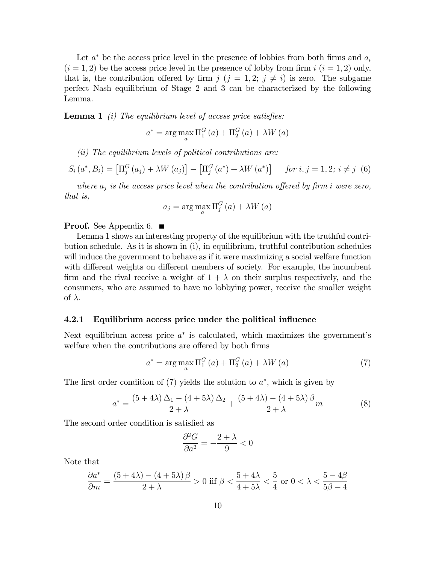Let  $a^*$  be the access price level in the presence of lobbies from both firms and  $a_i$  $(i = 1, 2)$  be the access price level in the presence of lobby from firm  $i$   $(i = 1, 2)$  only, that is, the contribution offered by firm  $j$   $(j = 1, 2; j \neq i)$  is zero. The subgame perfect Nash equilibrium of Stage 2 and 3 can be characterized by the following Lemma.

**Lemma 1** (i) The equilibrium level of access price satisfies:

$$
a^* = \arg\max_{a} \Pi_1^G(a) + \Pi_2^G(a) + \lambda W(a)
$$

(ii) The equilibrium levels of political contributions are:

$$
S_i(a^*, B_i) = \left[\Pi_j^G(a_j) + \lambda W(a_j)\right] - \left[\Pi_j^G(a^*) + \lambda W(a^*)\right] \quad \text{for } i, j = 1, 2; i \neq j \tag{6}
$$

where  $a_j$  is the access price level when the contribution offered by firm i were zero, that is,

$$
a_j = \arg\max_a \Pi_j^G(a) + \lambda W(a)
$$

#### **Proof.** See Appendix 6.  $\blacksquare$

Lemma 1 shows an interesting property of the equilibrium with the truthful contribution schedule. As it is shown in (i), in equilibrium, truthful contribution schedules will induce the government to behave as if it were maximizing a social welfare function with different weights on different members of society. For example, the incumbent firm and the rival receive a weight of  $1 + \lambda$  on their surplus respectively, and the consumers, who are assumed to have no lobbying power, receive the smaller weight of  $\lambda$ .

#### 4.2.1 Equilibrium access price under the political influence

Next equilibrium access price  $a^*$  is calculated, which maximizes the government's welfare when the contributions are offered by both firms

$$
a^* = \arg\max_{a} \Pi_1^G(a) + \Pi_2^G(a) + \lambda W(a)
$$
\n(7)

The first order condition of  $(7)$  yields the solution to  $a^*$ , which is given by

$$
a^* = \frac{(5+4\lambda)\Delta_1 - (4+5\lambda)\Delta_2}{2+\lambda} + \frac{(5+4\lambda) - (4+5\lambda)\beta}{2+\lambda}m\tag{8}
$$

The second order condition is satisfied as

$$
\frac{\partial^2 G}{\partial a^2} = -\frac{2+\lambda}{9} < 0
$$

Note that

$$
\frac{\partial a^*}{\partial m} = \frac{(5+4\lambda) - (4+5\lambda)\beta}{2+\lambda} > 0 \text{ iff } \beta < \frac{5+4\lambda}{4+5\lambda} < \frac{5}{4} \text{ or } 0 < \lambda < \frac{5-4\beta}{5\beta - 4}
$$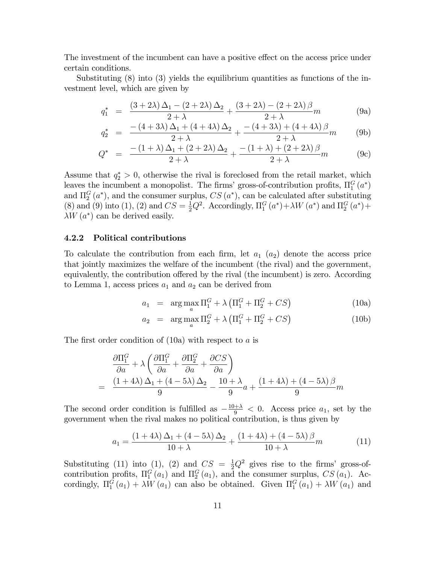The investment of the incumbent can have a positive effect on the access price under certain conditions.

Substituting (8) into (3) yields the equilibrium quantities as functions of the investment level, which are given by

$$
q_1^* = \frac{(3+2\lambda)\Delta_1 - (2+2\lambda)\Delta_2}{2+\lambda} + \frac{(3+2\lambda) - (2+2\lambda)\beta}{2+\lambda}m
$$
 (9a)

$$
q_2^* = \frac{-(4+3\lambda)\Delta_1 + (4+4\lambda)\Delta_2}{2+\lambda} + \frac{-(4+3\lambda) + (4+4\lambda)\beta}{2+\lambda}m
$$
 (9b)

$$
Q^* = \frac{-(1+\lambda)\Delta_1 + (2+2\lambda)\Delta_2}{2+\lambda} + \frac{-(1+\lambda) + (2+2\lambda)\beta}{2+\lambda}m
$$
 (9c)

Assume that  $q_2^* > 0$ , otherwise the rival is foreclosed from the retail market, which leaves the incumbent a monopolist. The firms' gross-of-contribution profits,  $\Pi_1^G(a^*)$ and  $\Pi_2^G(a^*)$ , and the consumer surplus,  $CS(a^*)$ , can be calculated after substituting (8) and (9) into (1), (2) and  $CS = \frac{1}{2}Q^2$ . Accordingly,  $\Pi_1^G(a^*) + \lambda W(a^*)$  and  $\Pi_2^G(a^*) +$  $\lambda W(a^*)$  can be derived easily.

#### 4.2.2 Political contributions

To calculate the contribution from each firm, let  $a_1$   $(a_2)$  denote the access price that jointly maximizes the welfare of the incumbent (the rival) and the government, equivalently, the contribution offered by the rival (the incumbent) is zero. According to Lemma 1, access prices  $a_1$  and  $a_2$  can be derived from

$$
a_1 = \arg \max_{a} \Pi_1^G + \lambda \left( \Pi_1^G + \Pi_2^G + CS \right)
$$
 (10a)

$$
a_2 = \arg \max_{a} \Pi_2^G + \lambda \left( \Pi_1^G + \Pi_2^G + CS \right)
$$
 (10b)

The first order condition of  $(10a)$  with respect to a is

$$
\frac{\partial \Pi_1^G}{\partial a} + \lambda \left( \frac{\partial \Pi_1^G}{\partial a} + \frac{\partial \Pi_2^G}{\partial a} + \frac{\partial CS}{\partial a} \right)
$$
  
= 
$$
\frac{(1+4\lambda)\Delta_1 + (4-5\lambda)\Delta_2}{9} - \frac{10+\lambda}{9}a + \frac{(1+4\lambda) + (4-5\lambda)\beta}{9}m
$$

The second order condition is fulfilled as  $-\frac{10+\lambda}{9} < 0$ . Access price  $a_1$ , set by the government when the rival makes no political contribution, is thus given by

$$
a_1 = \frac{\left(1+4\lambda\right)\Delta_1 + \left(4-5\lambda\right)\Delta_2}{10+\lambda} + \frac{\left(1+4\lambda\right) + \left(4-5\lambda\right)\beta}{10+\lambda}m\tag{11}
$$

Substituting (11) into (1), (2) and  $CS = \frac{1}{2}Q^2$  gives rise to the firms' gross-ofcontribution profits,  $\Pi_1^G(a_1)$  and  $\Pi_2^G(a_1)$ , and the consumer surplus,  $CS(a_1)$ . Accordingly,  $\Pi_1^G(a_1) + \lambda W(a_1)$  can also be obtained. Given  $\Pi_1^G(a_1) + \lambda W(a_1)$  and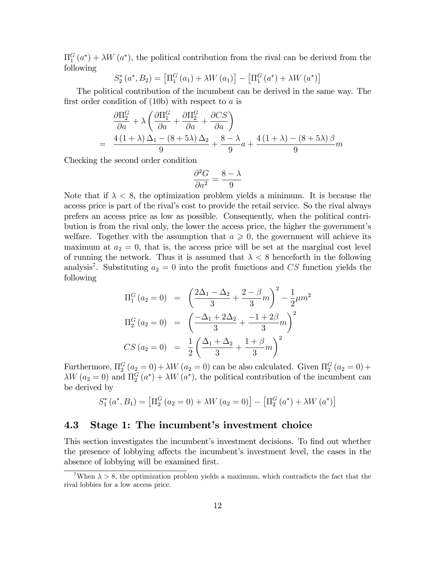$\Pi_1^G(a^*) + \lambda W(a^*)$ , the political contribution from the rival can be derived from the following

$$
S_2^*\left(a^*, B_2\right) = \left[\Pi_1^G\left(a_1\right) + \lambda W\left(a_1\right)\right] - \left[\Pi_1^G\left(a^*\right) + \lambda W\left(a^*\right)\right]
$$

The political contribution of the incumbent can be derived in the same way. The first order condition of  $(10b)$  with respect to a is

$$
\frac{\partial \Pi_2^G}{\partial a} + \lambda \left( \frac{\partial \Pi_1^G}{\partial a} + \frac{\partial \Pi_2^G}{\partial a} + \frac{\partial CS}{\partial a} \right)
$$
  
= 
$$
\frac{4(1+\lambda)\Delta_1 - (8+5\lambda)\Delta_2}{9} + \frac{8-\lambda}{9}a + \frac{4(1+\lambda) - (8+5\lambda)\beta}{9}m
$$

Checking the second order condition

$$
\frac{\partial^2 G}{\partial a^2} = \frac{8-\lambda}{9}
$$

Note that if  $\lambda < 8$ , the optimization problem yields a minimum. It is because the access price is part of the rival's cost to provide the retail service. So the rival always prefers an access price as low as possible. Consequently, when the political contribution is from the rival only, the lower the access price, the higher the government's welfare. Together with the assumption that  $a \geq 0$ , the government will achieve its maximum at  $a_2 = 0$ , that is, the access price will be set at the marginal cost level of running the network. Thus it is assumed that  $\lambda < 8$  henceforth in the following analysis<sup>7</sup>. Substituting  $a_2 = 0$  into the profit functions and CS function yields the following

$$
\Pi_1^G (a_2 = 0) = \left(\frac{2\Delta_1 - \Delta_2}{3} + \frac{2-\beta}{3}m\right)^2 - \frac{1}{2}\mu m^2
$$
  

$$
\Pi_2^G (a_2 = 0) = \left(\frac{-\Delta_1 + 2\Delta_2}{3} + \frac{-1+2\beta}{3}m\right)^2
$$
  

$$
CS (a_2 = 0) = \frac{1}{2} \left(\frac{\Delta_1 + \Delta_2}{3} + \frac{1+\beta}{3}m\right)^2
$$

Furthermore,  $\Pi_2^G(a_2 = 0) + \lambda W(a_2 = 0)$  can be also calculated. Given  $\Pi_2^G(a_2 = 0) +$  $\lambda W$  ( $a_2 = 0$ ) and  $\Pi_2^G(a^*) + \lambda W(a^*)$ , the political contribution of the incumbent can be derived by

$$
S_1^* (a^*, B_1) = [\Pi_2^G (a_2 = 0) + \lambda W (a_2 = 0)] - [\Pi_2^G (a^*) + \lambda W (a^*)]
$$

#### 4.3 Stage 1: The incumbent's investment choice

This section investigates the incumbent's investment decisions. To find out whether the presence of lobbying affects the incumbent's investment level, the cases in the absence of lobbying will be examined first.

When  $\lambda > 8$ , the optimization problem yields a maximum, which contradicts the fact that the rival lobbies for a low access price.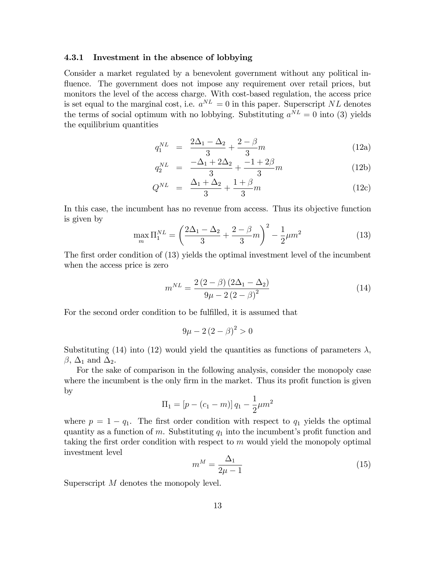#### 4.3.1 Investment in the absence of lobbying

Consider a market regulated by a benevolent government without any political influence. The government does not impose any requirement over retail prices, but monitors the level of the access charge. With cost-based regulation, the access price is set equal to the marginal cost, i.e.  $a^{NL} = 0$  in this paper. Superscript NL denotes the terms of social optimum with no lobbying. Substituting  $a^{NL} = 0$  into (3) yields the equilibrium quantities

$$
q_1^{NL} = \frac{2\Delta_1 - \Delta_2}{3} + \frac{2-\beta}{3}m \tag{12a}
$$

$$
q_2^{NL} = \frac{-\Delta_1 + 2\Delta_2}{3} + \frac{-1 + 2\beta}{3}m \tag{12b}
$$

$$
Q^{NL} = \frac{\Delta_1 + \Delta_2}{3} + \frac{1+\beta}{3}m \tag{12c}
$$

In this case, the incumbent has no revenue from access. Thus its objective function is given by

$$
\max_{m} \Pi_1^{NL} = \left(\frac{2\Delta_1 - \Delta_2}{3} + \frac{2-\beta}{3}m\right)^2 - \frac{1}{2}\mu m^2\tag{13}
$$

The first order condition of (13) yields the optimal investment level of the incumbent when the access price is zero

$$
m^{NL} = \frac{2(2-\beta)(2\Delta_1 - \Delta_2)}{9\mu - 2(2-\beta)^2}
$$
 (14)

For the second order condition to be fulfilled, it is assumed that

$$
9\mu - 2(2 - \beta)^2 > 0
$$

Substituting (14) into (12) would yield the quantities as functions of parameters  $\lambda$ ,  $\beta$ ,  $\Delta_1$  and  $\Delta_2$ .

For the sake of comparison in the following analysis, consider the monopoly case where the incumbent is the only firm in the market. Thus its profit function is given by

$$
\Pi_1 = [p - (c_1 - m)] q_1 - \frac{1}{2} \mu m^2
$$

where  $p = 1 - q_1$ . The first order condition with respect to  $q_1$  yields the optimal quantity as a function of m. Substituting  $q_1$  into the incumbent's profit function and taking the first order condition with respect to  $m$  would yield the monopoly optimal investment level

$$
m^M = \frac{\Delta_1}{2\mu - 1} \tag{15}
$$

Superscript M denotes the monopoly level.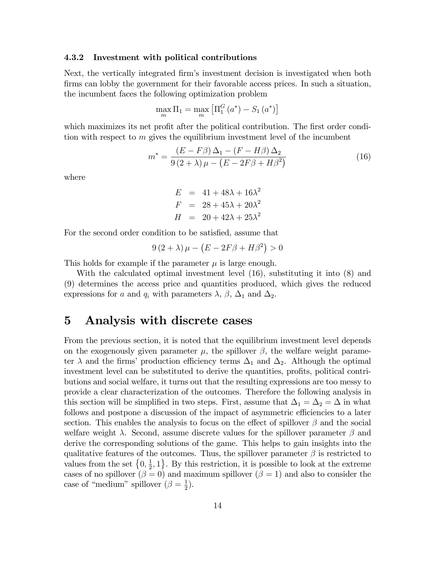#### 4.3.2 Investment with political contributions

Next, the vertically integrated firm's investment decision is investigated when both firms can lobby the government for their favorable access prices. In such a situation, the incumbent faces the following optimization problem

$$
\max_{m} \Pi_1 = \max_{m} \left[ \Pi_1^G \left( a^* \right) - S_1 \left( a^* \right) \right]
$$

which maximizes its net profit after the political contribution. The first order condition with respect to  $m$  gives the equilibrium investment level of the incumbent

$$
m^* = \frac{(E - F\beta)\Delta_1 - (F - H\beta)\Delta_2}{9(2 + \lambda)\mu - (E - 2F\beta + H\beta^2)}
$$
(16)

where

$$
E = 41 + 48\lambda + 16\lambda^2
$$
  

$$
F = 28 + 45\lambda + 20\lambda^2
$$
  

$$
H = 20 + 42\lambda + 25\lambda^2
$$

For the second order condition to be satisfied, assume that

$$
9(2+\lambda)\mu - (E - 2F\beta + H\beta^2) > 0
$$

This holds for example if the parameter  $\mu$  is large enough.

With the calculated optimal investment level (16), substituting it into (8) and (9) determines the access price and quantities produced, which gives the reduced expressions for a and  $q_i$  with parameters  $\lambda$ ,  $\beta$ ,  $\Delta_1$  and  $\Delta_2$ .

### 5 Analysis with discrete cases

From the previous section, it is noted that the equilibrium investment level depends on the exogenously given parameter  $\mu$ , the spillover  $\beta$ , the welfare weight parameter  $\lambda$  and the firms' production efficiency terms  $\Delta_1$  and  $\Delta_2$ . Although the optimal investment level can be substituted to derive the quantities, profits, political contributions and social welfare, it turns out that the resulting expressions are too messy to provide a clear characterization of the outcomes. Therefore the following analysis in this section will be simplified in two steps. First, assume that  $\Delta_1 = \Delta_2 = \Delta$  in what follows and postpone a discussion of the impact of asymmetric efficiencies to a later section. This enables the analysis to focus on the effect of spillover  $\beta$  and the social welfare weight  $\lambda$ . Second, assume discrete values for the spillover parameter  $\beta$  and derive the corresponding solutions of the game. This helps to gain insights into the qualitative features of the outcomes. Thus, the spillover parameter  $\beta$  is restricted to values from the set  $\{0, \frac{1}{2}\}$  $\left\{\frac{1}{2}, 1\right\}$ . By this restriction, it is possible to look at the extreme cases of no spillover  $(\beta = 0)$  and maximum spillover  $(\beta = 1)$  and also to consider the case of "medium" spillover  $(\beta = \frac{1}{2})$  $(\frac{1}{2})$ .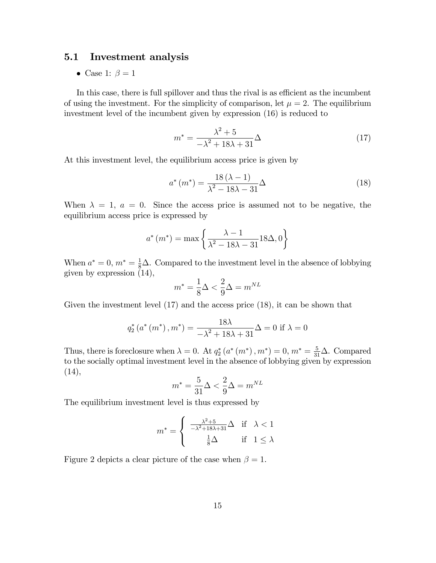### 5.1 Investment analysis

• Case 1:  $\beta = 1$ 

In this case, there is full spillover and thus the rival is as efficient as the incumbent of using the investment. For the simplicity of comparison, let  $\mu = 2$ . The equilibrium investment level of the incumbent given by expression (16) is reduced to

$$
m^* = \frac{\lambda^2 + 5}{-\lambda^2 + 18\lambda + 31}\Delta\tag{17}
$$

At this investment level, the equilibrium access price is given by

$$
a^*(m^*) = \frac{18(\lambda - 1)}{\lambda^2 - 18\lambda - 31}\Delta\tag{18}
$$

When  $\lambda = 1$ ,  $a = 0$ . Since the access price is assumed not to be negative, the equilibrium access price is expressed by

$$
a^*(m^*) = \max\left\{\frac{\lambda - 1}{\lambda^2 - 18\lambda - 31}18\Delta, 0\right\}
$$

When  $a^* = 0$ ,  $m^* = \frac{1}{8}\Delta$ . Compared to the investment level in the absence of lobbying given by expression (14),

$$
m^* = \frac{1}{8}\Delta < \frac{2}{9}\Delta = m^{NL}
$$

Given the investment level (17) and the access price (18), it can be shown that

$$
q_2^*(a^*(m^*), m^*) = \frac{18\lambda}{-\lambda^2 + 18\lambda + 31}\Delta = 0
$$
 if  $\lambda = 0$ 

Thus, there is foreclosure when  $\lambda = 0$ . At  $q_2^*(a^*(m^*), m^*) = 0$ ,  $m^* = \frac{5}{31}\Delta$ . Compared to the socially optimal investment level in the absence of lobbying given by expression  $(14),$ 

$$
m^* = \frac{5}{31}\Delta < \frac{2}{9}\Delta = m^{NL}
$$

The equilibrium investment level is thus expressed by

$$
m^* = \begin{cases} \frac{\lambda^2 + 5}{-\lambda^2 + 18\lambda + 31} \Delta & \text{if } \lambda < 1\\ \frac{1}{8} \Delta & \text{if } 1 \le \lambda \end{cases}
$$

Figure 2 depicts a clear picture of the case when  $\beta = 1$ .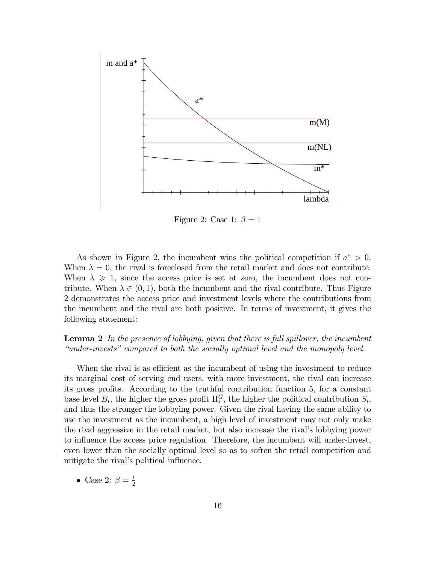

Figure 2: Case 1:  $\beta = 1$ 

As shown in Figure 2, the incumbent wins the political competition if  $a^* > 0$ . When  $\lambda = 0$ , the rival is foreclosed from the retail market and does not contribute. When  $\lambda \geq 1$ , since the access price is set at zero, the incumbent does not contribute. When  $\lambda \in (0, 1)$ , both the incumbent and the rival contribute. Thus Figure 2 demonstrates the access price and investment levels where the contributions from the incumbent and the rival are both positive. In terms of investment, it gives the following statement:

### **Lemma 2** In the presence of lobbying, given that there is full spillover, the incumbent  $\emph{``under-invests''}$  compared to both the socially optimal level and the monopoly level.

When the rival is as efficient as the incumbent of using the investment to reduce its marginal cost of serving end users, with more investment, the rival can increase its gross profits. According to the truthful contribution function 5, for a constant base level  $B_i$ , the higher the gross profit  $\Pi_i^G$ , the higher the political contribution  $S_i$ , and thus the stronger the lobbying power. Given the rival having the same ability to use the investment as the incumbent, a high level of investment may not only make the rival aggressive in the retail market, but also increase the rival's lobbying power to influence the access price regulation. Therefore, the incumbent will under-invest, even lower than the socially optimal level so as to soften the retail competition and mitigate the rival's political influence.

• Case 2:  $\beta = \frac{1}{2}$ 2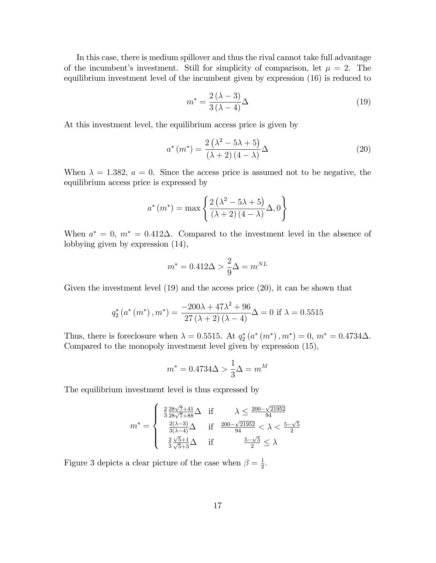In this case, there is medium spillover and thus the rival cannot take full advantage of the incumbent's investment. Still for simplicity of comparison, let  $\mu = 2$ . The equilibrium investment level of the incumbent given by expression (16) is reduced to

$$
m^* = \frac{2(\lambda - 3)}{3(\lambda - 4)}\Delta\tag{19}
$$

At this investment level, the equilibrium access price is given by

$$
a^*(m^*) = \frac{2\left(\lambda^2 - 5\lambda + 5\right)}{\left(\lambda + 2\right)\left(4 - \lambda\right)}\Delta\tag{20}
$$

When  $\lambda = 1.382$ ,  $a = 0$ . Since the access price is assumed not to be negative, the equilibrium access price is expressed by

$$
a^*(m^*) = \max\left\{\frac{2\left(\lambda^2 - 5\lambda + 5\right)}{\left(\lambda + 2\right)\left(4 - \lambda\right)}\Delta, 0\right\}
$$

When  $a^* = 0$ ,  $m^* = 0.412\Delta$ . Compared to the investment level in the absence of lobbying given by expression (14),

$$
m^* = 0.412\Delta > \frac{2}{9}\Delta = m^{NL}
$$

Given the investment level (19) and the access price (20), it can be shown that

$$
q_2^* (a^* (m^*), m^*) = \frac{-200\lambda + 47\lambda^2 + 96}{27 (\lambda + 2) (\lambda - 4)} \Delta = 0 \text{ if } \lambda = 0.5515
$$

Thus, there is foreclosure when  $\lambda = 0.5515$ . At  $q_2^*(a^*(m^*), m^*) = 0$ ,  $m^* = 0.4734\Delta$ . Compared to the monopoly investment level given by expression (15),

$$
m^* = 0.4734\Delta > \frac{1}{3}\Delta = m^M
$$

The equilibrium investment level is thus expressed by

$$
m^* = \begin{cases} \frac{2}{3} \frac{28\sqrt{7} + 41}{28\sqrt{7} + 88} \Delta & \text{if } \lambda \le \frac{200 - \sqrt{21952}}{94} \\ \frac{2(\lambda - 3)}{3(\lambda - 4)} \Delta & \text{if } \frac{200 - \sqrt{21952}}{94} < \lambda < \frac{5 - \sqrt{5}}{2} \\ \frac{2}{3} \frac{\sqrt{5} + 1}{\sqrt{5} + 3} \Delta & \text{if } \frac{5 - \sqrt{5}}{2} \le \lambda \end{cases}
$$

Figure 3 depicts a clear picture of the case when  $\beta = \frac{1}{2}$  $\frac{1}{2}$ .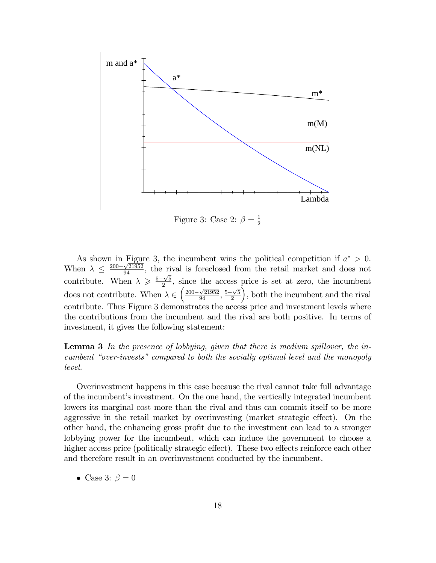

Figure 3: Case 2:  $\beta = \frac{1}{2}$ 2

As shown in Figure 3, the incumbent wins the political competition if  $a^* > 0$ . When  $\lambda \leq \frac{200-\sqrt{21952}}{94}$ , the rival is foreclosed from the retail market and does not contribute. When  $\lambda \geqslant \frac{5-\sqrt{5}}{2}$  $\frac{\sqrt{5}}{2}$ , since the access price is set at zero, the incumbent does not contribute. When  $\lambda \in \left(\frac{200-\sqrt{21952}}{94}, \frac{5-\sqrt{5}}{2}\right)$ 2 , both the incumbent and the rival contribute. Thus Figure 3 demonstrates the access price and investment levels where the contributions from the incumbent and the rival are both positive. In terms of investment, it gives the following statement:

**Lemma 3** In the presence of lobbying, given that there is medium spillover, the incumbent "over-invests" compared to both the socially optimal level and the monopoly level.

Overinvestment happens in this case because the rival cannot take full advantage of the incumbent's investment. On the one hand, the vertically integrated incumbent lowers its marginal cost more than the rival and thus can commit itself to be more aggressive in the retail market by overinvesting (market strategic effect). On the other hand, the enhancing gross profit due to the investment can lead to a stronger lobbying power for the incumbent, which can induce the government to choose a higher access price (politically strategic effect). These two effects reinforce each other and therefore result in an overinvestment conducted by the incumbent.

• Case 3:  $\beta = 0$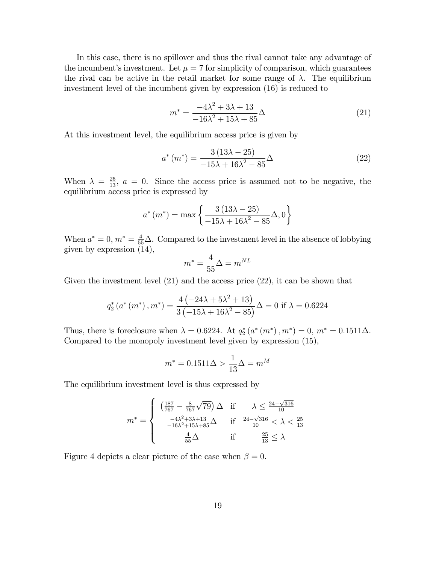In this case, there is no spillover and thus the rival cannot take any advantage of the incumbent's investment. Let  $\mu = 7$  for simplicity of comparison, which guarantees the rival can be active in the retail market for some range of  $\lambda$ . The equilibrium investment level of the incumbent given by expression (16) is reduced to

$$
m^* = \frac{-4\lambda^2 + 3\lambda + 13}{-16\lambda^2 + 15\lambda + 85}\Delta\tag{21}
$$

At this investment level, the equilibrium access price is given by

$$
a^*(m^*) = \frac{3(13\lambda - 25)}{-15\lambda + 16\lambda^2 - 85}\Delta
$$
 (22)

When  $\lambda = \frac{25}{13}$ ,  $a = 0$ . Since the access price is assumed not to be negative, the equilibrium access price is expressed by

$$
a^*(m^*) = \max \left\{ \frac{3(13\lambda - 25)}{-15\lambda + 16\lambda^2 - 85} \Delta, 0 \right\}
$$

When  $a^* = 0$ ,  $m^* = \frac{4}{55}\Delta$ . Compared to the investment level in the absence of lobbying given by expression (14),

$$
m^* = \frac{4}{55}\Delta = m^{NL}
$$

Given the investment level (21) and the access price (22), it can be shown that

$$
q_2^* (a^* (m^*), m^*) = \frac{4 (-24\lambda + 5\lambda^2 + 13)}{3 (-15\lambda + 16\lambda^2 - 85)} \Delta = 0 \text{ if } \lambda = 0.6224
$$

Thus, there is foreclosure when  $\lambda = 0.6224$ . At  $q_2^*(a^*(m^*), m^*) = 0$ ,  $m^* = 0.1511\Delta$ . Compared to the monopoly investment level given by expression (15),

$$
m^* = 0.1511\Delta > \frac{1}{13}\Delta = m^M
$$

The equilibrium investment level is thus expressed by

$$
m^* = \begin{cases} \left(\frac{187}{767} - \frac{8}{767}\sqrt{79}\right)\Delta & \text{if } \lambda \le \frac{24 - \sqrt{316}}{10} \\ \frac{-4\lambda^2 + 3\lambda + 13}{-16\lambda^2 + 15\lambda + 85}\Delta & \text{if } \frac{24 - \sqrt{316}}{10} < \lambda < \frac{25}{13} \\ \frac{4}{55}\Delta & \text{if } \frac{25}{13} \le \lambda \end{cases}
$$

Figure 4 depicts a clear picture of the case when  $\beta = 0$ .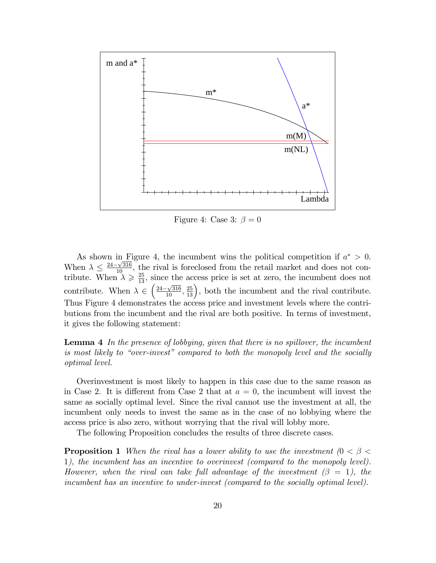

Figure 4: Case 3:  $\beta = 0$ 

As shown in Figure 4, the incumbent wins the political competition if  $a^* > 0$ . When  $\lambda \leq \frac{24-\sqrt{316}}{10}$ , the rival is foreclosed from the retail market and does not contribute. When  $\lambda \geq \frac{25}{13}$ , since the access price is set at zero, the incumbent does not contribute. When  $\lambda \in \left(\frac{24-\sqrt{316}}{10}, \frac{25}{13}\right)$ , both the incumbent and the rival contribute. Thus Figure 4 demonstrates the access price and investment levels where the contributions from the incumbent and the rival are both positive. In terms of investment, it gives the following statement:

**Lemma 4** In the presence of lobbying, given that there is no spillover, the incumbent is most likely to "over-invest" compared to both the monopoly level and the socially optimal level.

Overinvestment is most likely to happen in this case due to the same reason as in Case 2. It is different from Case 2 that at  $a = 0$ , the incumbent will invest the same as socially optimal level. Since the rival cannot use the investment at all, the incumbent only needs to invest the same as in the case of no lobbying where the access price is also zero, without worrying that the rival will lobby more.

The following Proposition concludes the results of three discrete cases.

**Proposition 1** When the rival has a lower ability to use the investment  $(0 < \beta <$ 1), the incumbent has an incentive to overinvest (compared to the monopoly level). However, when the rival can take full advantage of the investment  $(\beta = 1)$ , the incumbent has an incentive to under-invest (compared to the socially optimal level).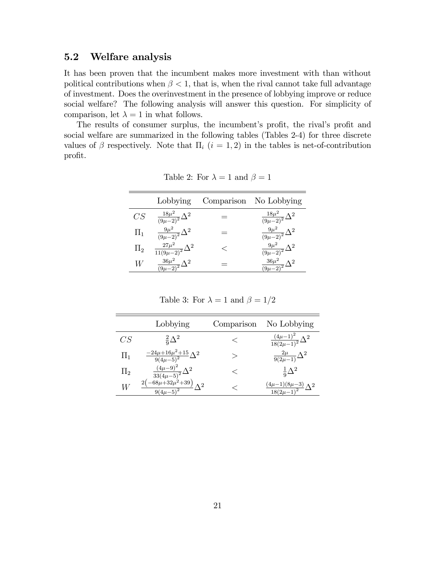### 5.2 Welfare analysis

It has been proven that the incumbent makes more investment with than without political contributions when  $\beta < 1$ , that is, when the rival cannot take full advantage of investment. Does the overinvestment in the presence of lobbying improve or reduce social welfare? The following analysis will answer this question. For simplicity of comparison, let  $\lambda = 1$  in what follows.

The results of consumer surplus, the incumbent's profit, the rival's profit and social welfare are summarized in the following tables (Tables 2-4) for three discrete values of  $\beta$  respectively. Note that  $\Pi_i$   $(i = 1, 2)$  in the tables is net-of-contribution profit.

|         | Lobbying                               | Comparison No Lobbying                         |
|---------|----------------------------------------|------------------------------------------------|
| CS      | $\frac{18\mu^2}{(9\mu-2)^2}\Delta^2$   | $\frac{18\mu^2}{(9\mu-2)^2}\Delta^2$           |
| $\Pi_1$ | $\frac{9\mu^2}{(9\mu-2)^2}\Delta^2$    | $\frac{9\mu^2}{\left(9\mu-2\right)^2}\Delta^2$ |
| $\Pi_2$ | $\frac{27\mu^2}{11(9\mu-2)^2}\Delta^2$ | $\frac{9\mu^2}{\left(9\mu-2\right)^2}\Delta^2$ |
| W       | $\frac{36\mu^2}{(9\mu-2)^2}\Delta^2$   | $\frac{36\mu^2}{(9\mu-2)^2}\Delta^2$           |

Table 2: For  $\lambda = 1$  and  $\beta = 1$ 

Table 3: For  $\lambda = 1$  and  $\beta = 1/2$ 

|         | Lobbying                                                        | Comparison | No Lobbying                                                      |
|---------|-----------------------------------------------------------------|------------|------------------------------------------------------------------|
| CS      | $rac{2}{5}\Delta^2$                                             |            | $\frac{(4\mu-1)^2}{18(2\mu-1)^2}\Delta^2$                        |
| $\Pi_1$ | $\frac{-24\mu+16\mu^2+15}{9(4\mu-5)^2}\Delta^2$                 | ↘          | $\frac{2\mu}{9(2\mu-1)}\Delta^2$                                 |
| $\Pi_2$ | $\frac{\left(4\mu-9\right)^2}{33\left(4\mu-5\right)^2}\Delta^2$ |            | $rac{1}{9}\Delta^2$                                              |
| W       | $2(-68\mu+32\mu^2+39)\Delta^2$<br>$9(4\mu-5)^2$                 |            | $\frac{(4\mu-1)(8\mu-3)}{2}\Delta^2$<br>$\frac{18(2\mu-1)^2}{2}$ |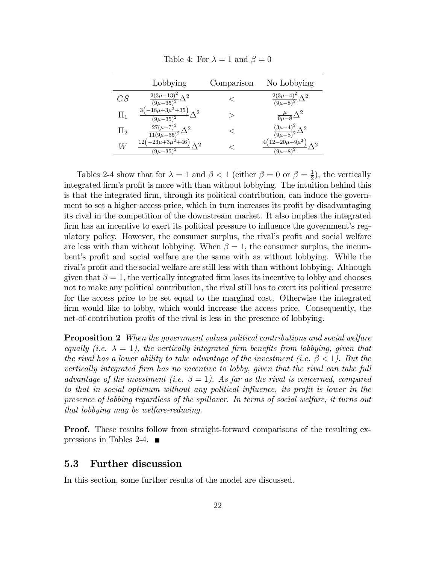|                | Lobbying                                             | Comparison | No Lobbying                                         |
|----------------|------------------------------------------------------|------------|-----------------------------------------------------|
| CS             | $\frac{2(3\mu-13)^2}{(9\mu-35)^2}\Delta^2$           |            | $\frac{2(3\mu-4)^2}{\left(9\mu-8\right)^2}\Delta^2$ |
| $\Pi_1$        | $-18\mu+3\mu^2+35$<br>$\Lambda^2$<br>$(9\mu - 35)^2$ | ↘          | $\frac{\mu}{9\mu-8}\Delta^2$                        |
| $\Pi_2$        | $\frac{27(\mu-7)^2}{11(9\mu-35)^2}\Delta^2$          |            | $\frac{(3\mu-4)^2}{(9\mu-8)^2}\Delta^2$             |
| $\overline{W}$ | $-23\mu+3\mu^2+46$<br>$(9\mu - 35)^2$                |            | $(2-20\mu+9\mu^2)$<br>$(9\mu - 8)^2$                |

Table 4: For  $\lambda = 1$  and  $\beta = 0$ 

Tables 2-4 show that for  $\lambda = 1$  and  $\beta < 1$  (either  $\beta = 0$  or  $\beta = \frac{1}{2}$ )  $(\frac{1}{2})$ , the vertically integrated firm's profit is more with than without lobbying. The intuition behind this is that the integrated firm, through its political contribution, can induce the government to set a higher access price, which in turn increases its profit by disadvantaging its rival in the competition of the downstream market. It also implies the integrated firm has an incentive to exert its political pressure to influence the government's regulatory policy. However, the consumer surplus, the rival's profit and social welfare are less with than without lobbying. When  $\beta = 1$ , the consumer surplus, the incumbent's profit and social welfare are the same with as without lobbying. While the rival's profit and the social welfare are still less with than without lobbying. Although given that  $\beta = 1$ , the vertically integrated firm loses its incentive to lobby and chooses not to make any political contribution, the rival still has to exert its political pressure for the access price to be set equal to the marginal cost. Otherwise the integrated firm would like to lobby, which would increase the access price. Consequently, the net-of-contribution profit of the rival is less in the presence of lobbying.

**Proposition 2** When the government values political contributions and social welfare equally (i.e.  $\lambda = 1$ ), the vertically integrated firm benefits from lobbying, given that the rival has a lower ability to take advantage of the investment (i.e.  $\beta < 1$ ). But the vertically integrated Örm has no incentive to lobby, given that the rival can take full advantage of the investment (i.e.  $\beta = 1$ ). As far as the rival is concerned, compared to that in social optimum without any political influence, its profit is lower in the presence of lobbing regardless of the spillover. In terms of social welfare, it turns out that lobbying may be welfare-reducing.

**Proof.** These results follow from straight-forward comparisons of the resulting expressions in Tables 2-4.  $\blacksquare$ 

#### 5.3 Further discussion

In this section, some further results of the model are discussed.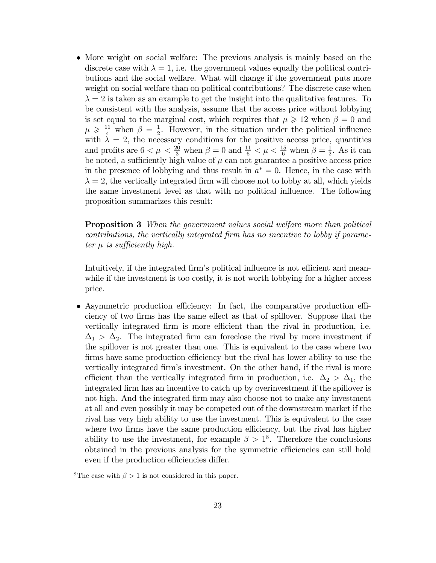• More weight on social welfare: The previous analysis is mainly based on the discrete case with  $\lambda = 1$ , i.e. the government values equally the political contributions and the social welfare. What will change if the government puts more weight on social welfare than on political contributions? The discrete case when  $\lambda = 2$  is taken as an example to get the insight into the qualitative features. To be consistent with the analysis, assume that the access price without lobbying is set equal to the marginal cost, which requires that  $\mu \geqslant 12$  when  $\beta = 0$  and  $\mu \geqslant \frac{11}{4}$  when  $\beta = \frac{1}{2}$  $\frac{1}{2}$ . However, in the situation under the political influence with  $\lambda = 2$ , the necessary conditions for the positive access price, quantities and profits are  $6 < \mu < \frac{20}{3}$  when  $\beta = 0$  and  $\frac{11}{6} < \mu < \frac{15}{6}$  when  $\beta = \frac{1}{2}$  $\frac{1}{2}$ . As it can be noted, a sufficiently high value of  $\mu$  can not guarantee a positive access price in the presence of lobbying and thus result in  $a^* = 0$ . Hence, in the case with  $\lambda = 2$ , the vertically integrated firm will choose not to lobby at all, which yields the same investment level as that with no political ináuence. The following proposition summarizes this result:

Proposition 3 When the government values social welfare more than political contributions, the vertically integrated Örm has no incentive to lobby if parameter  $\mu$  is sufficiently high.

Intuitively, if the integrated firm's political influence is not efficient and meanwhile if the investment is too costly, it is not worth lobbying for a higher access price.

 $\bullet$  Asymmetric production efficiency: In fact, the comparative production efficiency of two firms has the same effect as that of spillover. Suppose that the vertically integrated firm is more efficient than the rival in production, i.e.  $\Delta_1 > \Delta_2$ . The integrated firm can foreclose the rival by more investment if the spillover is not greater than one. This is equivalent to the case where two firms have same production efficiency but the rival has lower ability to use the vertically integrated Örmís investment. On the other hand, if the rival is more efficient than the vertically integrated firm in production, i.e.  $\Delta_2 > \Delta_1$ , the integrated Örm has an incentive to catch up by overinvestment if the spillover is not high. And the integrated firm may also choose not to make any investment at all and even possibly it may be competed out of the downstream market if the rival has very high ability to use the investment. This is equivalent to the case where two firms have the same production efficiency, but the rival has higher ability to use the investment, for example  $\beta > 1^8$ . Therefore the conclusions obtained in the previous analysis for the symmetric efficiencies can still hold even if the production efficiencies differ.

<sup>&</sup>lt;sup>8</sup>The case with  $\beta > 1$  is not considered in this paper.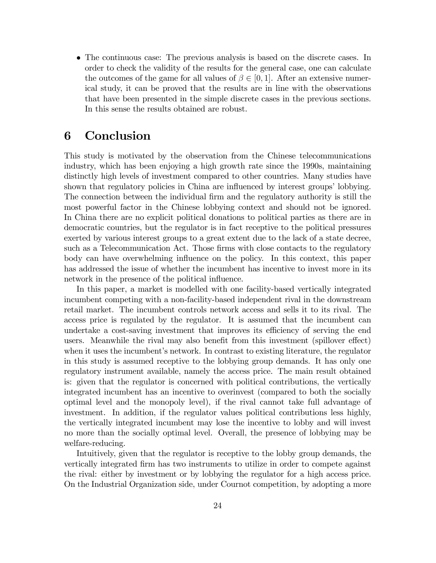The continuous case: The previous analysis is based on the discrete cases. In order to check the validity of the results for the general case, one can calculate the outcomes of the game for all values of  $\beta \in [0, 1]$ . After an extensive numerical study, it can be proved that the results are in line with the observations that have been presented in the simple discrete cases in the previous sections. In this sense the results obtained are robust.

# 6 Conclusion

This study is motivated by the observation from the Chinese telecommunications industry, which has been enjoying a high growth rate since the 1990s, maintaining distinctly high levels of investment compared to other countries. Many studies have shown that regulatory policies in China are influenced by interest groups' lobbying. The connection between the individual firm and the regulatory authority is still the most powerful factor in the Chinese lobbying context and should not be ignored. In China there are no explicit political donations to political parties as there are in democratic countries, but the regulator is in fact receptive to the political pressures exerted by various interest groups to a great extent due to the lack of a state decree, such as a Telecommunication Act. Those firms with close contacts to the regulatory body can have overwhelming ináuence on the policy. In this context, this paper has addressed the issue of whether the incumbent has incentive to invest more in its network in the presence of the political influence.

In this paper, a market is modelled with one facility-based vertically integrated incumbent competing with a non-facility-based independent rival in the downstream retail market. The incumbent controls network access and sells it to its rival. The access price is regulated by the regulator. It is assumed that the incumbent can undertake a cost-saving investment that improves its efficiency of serving the end users. Meanwhile the rival may also benefit from this investment (spillover effect) when it uses the incumbent's network. In contrast to existing literature, the regulator in this study is assumed receptive to the lobbying group demands. It has only one regulatory instrument available, namely the access price. The main result obtained is: given that the regulator is concerned with political contributions, the vertically integrated incumbent has an incentive to overinvest (compared to both the socially optimal level and the monopoly level), if the rival cannot take full advantage of investment. In addition, if the regulator values political contributions less highly, the vertically integrated incumbent may lose the incentive to lobby and will invest no more than the socially optimal level. Overall, the presence of lobbying may be welfare-reducing.

Intuitively, given that the regulator is receptive to the lobby group demands, the vertically integrated Örm has two instruments to utilize in order to compete against the rival: either by investment or by lobbying the regulator for a high access price. On the Industrial Organization side, under Cournot competition, by adopting a more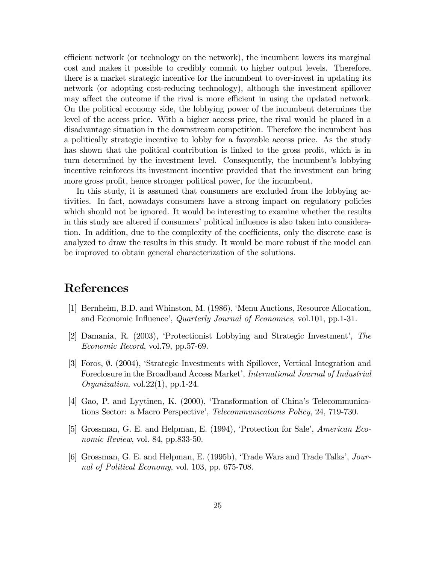efficient network (or technology on the network), the incumbent lowers its marginal cost and makes it possible to credibly commit to higher output levels. Therefore, there is a market strategic incentive for the incumbent to over-invest in updating its network (or adopting cost-reducing technology), although the investment spillover may affect the outcome if the rival is more efficient in using the updated network. On the political economy side, the lobbying power of the incumbent determines the level of the access price. With a higher access price, the rival would be placed in a disadvantage situation in the downstream competition. Therefore the incumbent has a politically strategic incentive to lobby for a favorable access price. As the study has shown that the political contribution is linked to the gross profit, which is in turn determined by the investment level. Consequently, the incumbent's lobbying incentive reinforces its investment incentive provided that the investment can bring more gross profit, hence stronger political power, for the incumbent.

In this study, it is assumed that consumers are excluded from the lobbying activities. In fact, nowadays consumers have a strong impact on regulatory policies which should not be ignored. It would be interesting to examine whether the results in this study are altered if consumers' political influence is also taken into consideration. In addition, due to the complexity of the coefficients, only the discrete case is analyzed to draw the results in this study. It would be more robust if the model can be improved to obtain general characterization of the solutions.

# References

- [1] Bernheim, B.D. and Whinston, M. (1986), ëMenu Auctions, Resource Allocation, and Economic Influence', *Quarterly Journal of Economics*, vol.101, pp.1-31.
- [2] Damania, R. (2003), ëProtectionist Lobbying and Strategic Investmentí, The Economic Record, vol.79, pp.57-69.
- [3] Foros,  $\emptyset$ . (2004), 'Strategic Investments with Spillover, Vertical Integration and Foreclosure in the Broadband Access Market', *International Journal of Industrial* Organization, vol.22(1), pp.1-24.
- [4] Gao, P. and Lyytinen, K. (2000), 'Transformation of China's Telecommunications Sector: a Macro Perspective', *Telecommunications Policy*, 24, 719-730.
- [5] Grossman, G. E. and Helpman, E. (1994), 'Protection for Sale', American Economic Review, vol. 84, pp.833-50.
- [6] Grossman, G. E. and Helpman, E. (1995b), 'Trade Wars and Trade Talks', *Jour*nal of Political Economy, vol. 103, pp. 675-708.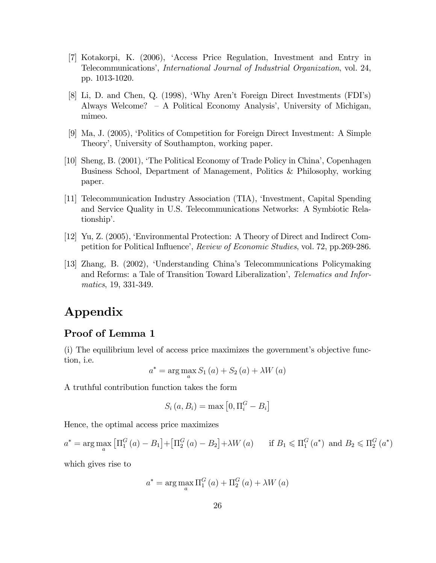- [7] Kotakorpi, K. (2006), ëAccess Price Regulation, Investment and Entry in Telecommunications', *International Journal of Industrial Organization*, vol. 24, pp. 1013-1020.
- [8] Li, D. and Chen, Q. (1998), ëWhy Arenít Foreign Direct Investments (FDIís) Always Welcome?  $-$  A Political Economy Analysis', University of Michigan, mimeo.
- [9] Ma, J. (2005), ëPolitics of Competition for Foreign Direct Investment: A Simple Theory', University of Southampton, working paper.
- [10] Sheng, B. (2001), ëThe Political Economy of Trade Policy in Chinaí, Copenhagen Business School, Department of Management, Politics & Philosophy, working paper.
- [11] Telecommunication Industry Association (TIA), ëInvestment, Capital Spending and Service Quality in U.S. Telecommunications Networks: A Symbiotic Relationship'.
- [12] Yu, Z. (2005), ëEnvironmental Protection: A Theory of Direct and Indirect Competition for Political Influence', Review of Economic Studies, vol. 72, pp.269-286.
- [13] Zhang, B. (2002), ëUnderstanding Chinaís Telecommunications Policymaking and Reforms: a Tale of Transition Toward Liberalization', Telematics and Informatics, 19, 331-349.

# Appendix

### Proof of Lemma 1

 $(i)$  The equilibrium level of access price maximizes the government's objective function, i.e.

$$
a^* = \arg\max_{a} S_1(a) + S_2(a) + \lambda W(a)
$$

A truthful contribution function takes the form

$$
S_i(a, B_i) = \max\left[0, \Pi_i^G - B_i\right]
$$

Hence, the optimal access price maximizes

$$
a^* = \arg \max_{a} \left[ \Pi_1^G(a) - B_1 \right] + \left[ \Pi_2^G(a) - B_2 \right] + \lambda W(a) \quad \text{if } B_1 \leq \Pi_1^G(a^*) \text{ and } B_2 \leq \Pi_2^G(a^*)
$$

which gives rise to

$$
a^* = \arg\max_{a} \Pi_1^G(a) + \Pi_2^G(a) + \lambda W(a)
$$